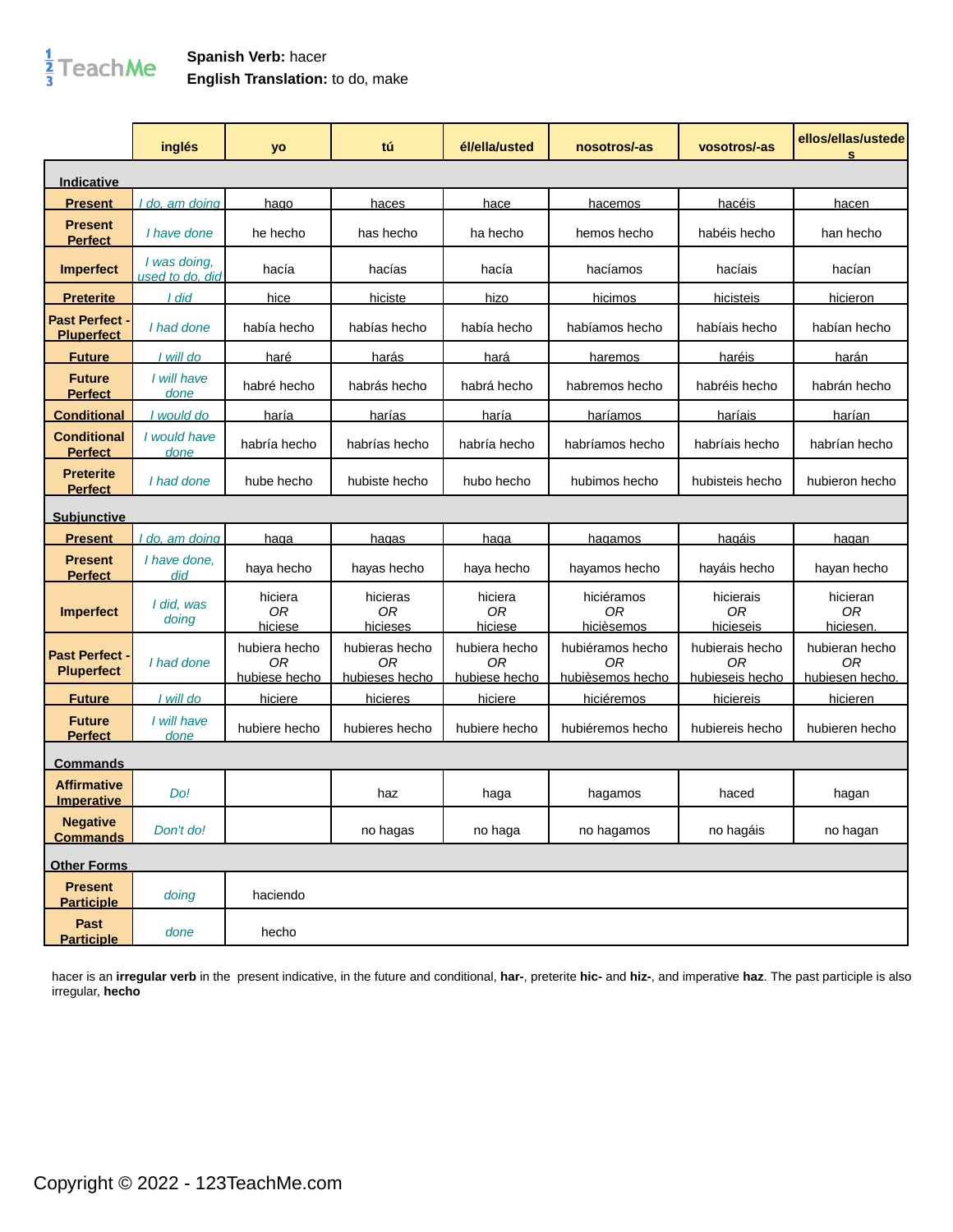## $\frac{1}{3}$ TeachMe

## **Spanish Verb:** hacer **English Translation:** to do, make

|                                          | inglés                          | yo                                   | tú                                     | él/ella/usted                        | nosotros/-as                               | vosotros/-as                             | ellos/ellas/ustede<br>s                 |
|------------------------------------------|---------------------------------|--------------------------------------|----------------------------------------|--------------------------------------|--------------------------------------------|------------------------------------------|-----------------------------------------|
| <u>Indicative</u>                        |                                 |                                      |                                        |                                      |                                            |                                          |                                         |
| <b>Present</b>                           | do, am doing                    | hago                                 | haces                                  | hace                                 | hacemos                                    | hacéis                                   | hacen                                   |
| <b>Present</b><br><b>Perfect</b>         | I have done                     | he hecho                             | has hecho                              | ha hecho                             | hemos hecho                                | habéis hecho                             | han hecho                               |
| <b>Imperfect</b>                         | I was doing,<br>used to do, did | hacía                                | hacías                                 | hacía                                | hacíamos                                   | hacíais                                  | hacían                                  |
| <b>Preterite</b>                         | I did                           | hice                                 | hiciste                                | hizo                                 | hicimos                                    | hicisteis                                | hicieron                                |
| <b>Past Perfect</b><br><b>Pluperfect</b> | I had done                      | había hecho                          | habías hecho                           | había hecho                          | habíamos hecho                             | habíais hecho                            | habían hecho                            |
| <b>Future</b>                            | I will do                       | haré                                 | <u>harás</u>                           | <u>hará</u>                          | haremos                                    | haréis                                   | <u>harán</u>                            |
| <b>Future</b><br><b>Perfect</b>          | I will have<br>done             | habré hecho                          | habrás hecho                           | habrá hecho                          | habremos hecho                             | habréis hecho                            | habrán hecho                            |
| <b>Conditional</b>                       | would do                        | haría                                | harías                                 | haría                                | <u>haríamos</u>                            | <u>haríais</u>                           | <u>harían</u>                           |
| <b>Conditional</b><br><b>Perfect</b>     | I would have<br>done            | habría hecho                         | habrías hecho                          | habría hecho                         | habríamos hecho                            | habríais hecho                           | habrían hecho                           |
| <b>Preterite</b><br><b>Perfect</b>       | I had done                      | hube hecho                           | hubiste hecho                          | hubo hecho                           | hubimos hecho                              | hubisteis hecho                          | hubieron hecho                          |
| <b>Subjunctive</b>                       |                                 |                                      |                                        |                                      |                                            |                                          |                                         |
| <b>Present</b>                           | do, am doing                    | <u>haqa</u>                          | haqas                                  | <u>haqa</u>                          | hagamos                                    | hagáis                                   | <u>haqan</u>                            |
| <b>Present</b><br><b>Perfect</b>         | I have done.<br>did             | haya hecho                           | hayas hecho                            | haya hecho                           | hayamos hecho                              | hayáis hecho                             | hayan hecho                             |
| <b>Imperfect</b>                         | I did, was<br>doing             | hiciera<br>0 <sub>R</sub><br>hiciese | hicieras<br>0 <sub>R</sub><br>hicieses | hiciera<br>0 <sub>R</sub><br>hiciese | hiciéramos<br>0R<br>hicièsemos             | hicierais<br>0 <sub>R</sub><br>hicieseis | hicieran<br>0 <sub>R</sub><br>hiciesen. |
| <b>Past Perfect</b><br><b>Pluperfect</b> | I had done                      | hubiera hecho<br>0R<br>hubiese hecho | hubieras hecho<br>ΟR<br>hubieses hecho | hubiera hecho<br>0R<br>hubiese hecho | hubiéramos hecho<br>ΟR<br>hubièsemos hecho | hubierais hecho<br>ΟR<br>hubieseis hecho | hubieran hecho<br>0R<br>hubiesen hecho. |
| <b>Future</b>                            | I will do                       | hiciere                              | hicieres                               | <u>hiciere</u>                       | hiciéremos                                 | hiciereis                                | hicieren                                |
| <b>Future</b><br><b>Perfect</b>          | I will have<br>done             | hubiere hecho                        | hubieres hecho                         | hubiere hecho                        | hubiéremos hecho                           | hubiereis hecho                          | hubieren hecho                          |
| Commands                                 |                                 |                                      |                                        |                                      |                                            |                                          |                                         |
| <b>Affirmative</b><br><b>Imperative</b>  | Do!                             |                                      | haz                                    | haga                                 | hagamos                                    | haced                                    | hagan                                   |
| <b>Negative</b><br><b>Commands</b>       | Don't do!                       |                                      | no hagas                               | no haga                              | no hagamos                                 | no hagáis                                | no hagan                                |
| <b>Other Forms</b>                       |                                 |                                      |                                        |                                      |                                            |                                          |                                         |
| <b>Present</b><br><b>Participle</b>      | doing                           | haciendo                             |                                        |                                      |                                            |                                          |                                         |
| Past<br><b>Participle</b>                | done                            | hecho                                |                                        |                                      |                                            |                                          |                                         |

hacer is an **irregular verb** in the present indicative, in the future and conditional, **har-**, preterite **hic-** and **hiz-**, and imperative **haz**. The past participle is also irregular, **hecho**